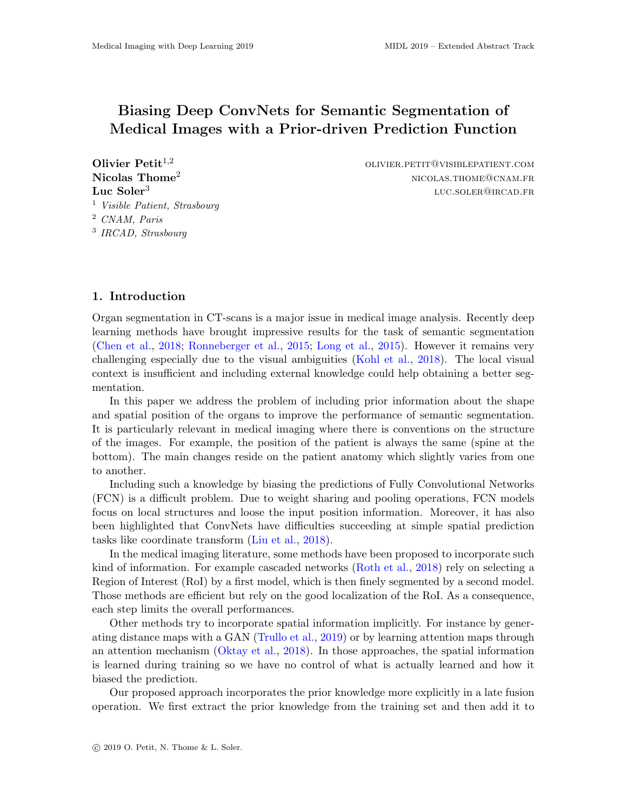# Biasing Deep ConvNets for Semantic Segmentation of Medical Images with a Prior-driven Prediction Function

Luc  $Soler<sup>3</sup>$  Visible Patient, Strasbourg CNAM, Paris IRCAD, Strasbourg

**Olivier Petit**<sup>1,2</sup> olivier.petit  $\text{OUVIER.}$  Petit<sup>1,2</sup> olivier.petit@visiblepatient.com  $\bf{N}i\bf{colas}\text{ }{\bf Thome}^2$  nicolas.thome@cnam.fr luc.soler@ircad.fr

# 1. Introduction

Organ segmentation in CT-scans is a major issue in medical image analysis. Recently deep learning methods have brought impressive results for the task of semantic segmentation [\(Chen et al.,](#page-3-0) [2018;](#page-3-0) [Ronneberger et al.,](#page-3-1) [2015;](#page-3-1) [Long et al.,](#page-3-2) [2015\)](#page-3-2). However it remains very challenging especially due to the visual ambiguities [\(Kohl et al.,](#page-3-3) [2018\)](#page-3-3). The local visual context is insufficient and including external knowledge could help obtaining a better segmentation.

In this paper we address the problem of including prior information about the shape and spatial position of the organs to improve the performance of semantic segmentation. It is particularly relevant in medical imaging where there is conventions on the structure of the images. For example, the position of the patient is always the same (spine at the bottom). The main changes reside on the patient anatomy which slightly varies from one to another.

Including such a knowledge by biasing the predictions of Fully Convolutional Networks (FCN) is a difficult problem. Due to weight sharing and pooling operations, FCN models focus on local structures and loose the input position information. Moreover, it has also been highlighted that ConvNets have difficulties succeeding at simple spatial prediction tasks like coordinate transform [\(Liu et al.,](#page-3-4) [2018\)](#page-3-4).

In the medical imaging literature, some methods have been proposed to incorporate such kind of information. For example cascaded networks [\(Roth et al.,](#page-3-5) [2018\)](#page-3-5) rely on selecting a Region of Interest (RoI) by a first model, which is then finely segmented by a second model. Those methods are efficient but rely on the good localization of the RoI. As a consequence, each step limits the overall performances.

Other methods try to incorporate spatial information implicitly. For instance by generating distance maps with a GAN [\(Trullo et al.,](#page-3-6) [2019\)](#page-3-6) or by learning attention maps through an attention mechanism [\(Oktay et al.,](#page-3-7) [2018\)](#page-3-7). In those approaches, the spatial information is learned during training so we have no control of what is actually learned and how it biased the prediction.

Our proposed approach incorporates the prior knowledge more explicitly in a late fusion operation. We first extract the prior knowledge from the training set and then add it to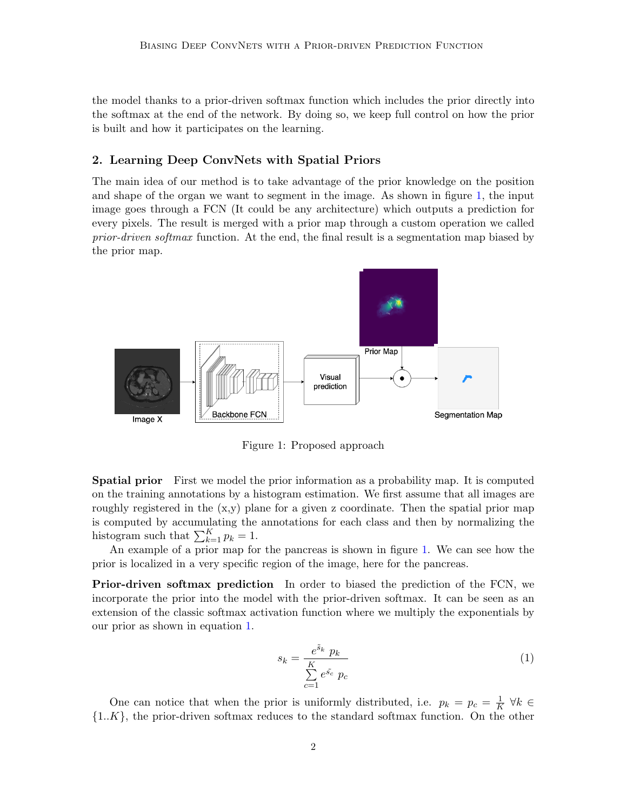the model thanks to a prior-driven softmax function which includes the prior directly into the softmax at the end of the network. By doing so, we keep full control on how the prior is built and how it participates on the learning.

# 2. Learning Deep ConvNets with Spatial Priors

The main idea of our method is to take advantage of the prior knowledge on the position and shape of the organ we want to segment in the image. As shown in figure [1,](#page-1-0) the input image goes through a FCN (It could be any architecture) which outputs a prediction for every pixels. The result is merged with a prior map through a custom operation we called prior-driven softmax function. At the end, the final result is a segmentation map biased by the prior map.

<span id="page-1-0"></span>

Figure 1: Proposed approach

Spatial prior First we model the prior information as a probability map. It is computed on the training annotations by a histogram estimation. We first assume that all images are roughly registered in the  $(x, y)$  plane for a given z coordinate. Then the spatial prior map is computed by accumulating the annotations for each class and then by normalizing the histogram such that  $\sum_{k=1}^{K} p_k = 1$ .

An example of a prior map for the pancreas is shown in figure [1.](#page-1-0) We can see how the prior is localized in a very specific region of the image, here for the pancreas.

Prior-driven softmax prediction In order to biased the prediction of the FCN, we incorporate the prior into the model with the prior-driven softmax. It can be seen as an extension of the classic softmax activation function where we multiply the exponentials by our prior as shown in equation [1.](#page-1-1)

<span id="page-1-1"></span>
$$
s_k = \frac{e^{\tilde{s}_k} p_k}{\sum\limits_{c=1}^{K} e^{\tilde{s}_c} p_c}
$$
 (1)

One can notice that when the prior is uniformly distributed, i.e.  $p_k = p_c = \frac{1}{k}$  $\frac{1}{K}$   $\forall k \in$  ${1..K}$ , the prior-driven softmax reduces to the standard softmax function. On the other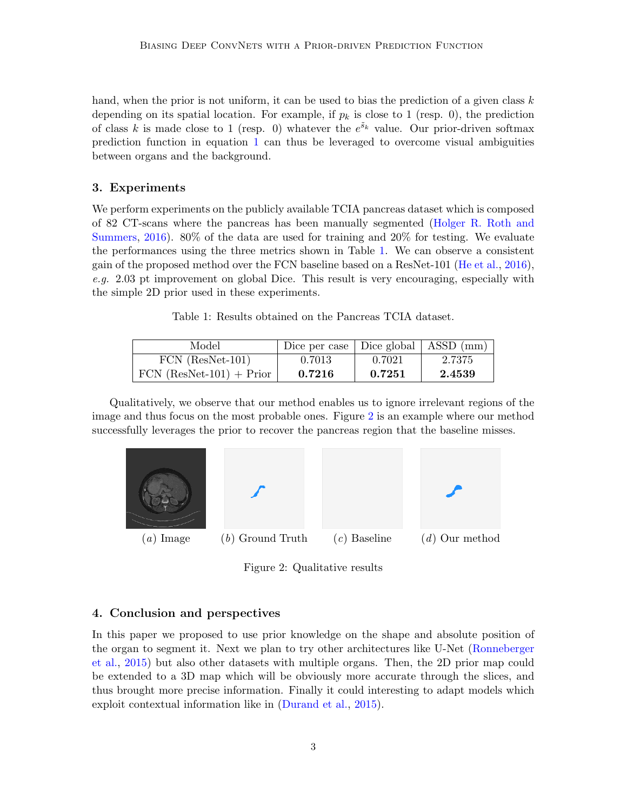hand, when the prior is not uniform, it can be used to bias the prediction of a given class  $k$ depending on its spatial location. For example, if  $p_k$  is close to 1 (resp. 0), the prediction of class k is made close to 1 (resp. 0) whatever the  $e^{\tilde{s}_k}$  value. Our prior-driven softmax prediction function in equation [1](#page-1-1) can thus be leveraged to overcome visual ambiguities between organs and the background.

#### 3. Experiments

We perform experiments on the publicly available TCIA pancreas dataset which is composed of 82 CT-scans where the pancreas has been manually segmented [\(Holger R. Roth and](#page-3-8) [Summers,](#page-3-8) [2016\)](#page-3-8). 80% of the data are used for training and 20% for testing. We evaluate the performances using the three metrics shown in Table [1.](#page-2-0) We can observe a consistent gain of the proposed method over the FCN baseline based on a ResNet-101 [\(He et al.,](#page-3-9) [2016\)](#page-3-9), e.g. 2.03 pt improvement on global Dice. This result is very encouraging, especially with the simple 2D prior used in these experiments.

Table 1: Results obtained on the Pancreas TCIA dataset.

<span id="page-2-0"></span>

| Model                      | Dice per case $\vert$ Dice global $\vert$ ASSD (mm) |        |        |
|----------------------------|-----------------------------------------------------|--------|--------|
| $FCN$ (ResNet-101)         | 0.7013                                              | 0.7021 | 2.7375 |
| $FCN (ResNet-101) + Prior$ | 0.7216                                              | 0.7251 | 2.4539 |

Qualitatively, we observe that our method enables us to ignore irrelevant regions of the image and thus focus on the most probable ones. Figure [2](#page-2-1) is an example where our method successfully leverages the prior to recover the pancreas region that the baseline misses.

<span id="page-2-1"></span>

Figure 2: Qualitative results

# 4. Conclusion and perspectives

In this paper we proposed to use prior knowledge on the shape and absolute position of the organ to segment it. Next we plan to try other architectures like U-Net [\(Ronneberger](#page-3-1) [et al.,](#page-3-1) [2015\)](#page-3-1) but also other datasets with multiple organs. Then, the 2D prior map could be extended to a 3D map which will be obviously more accurate through the slices, and thus brought more precise information. Finally it could interesting to adapt models which exploit contextual information like in [\(Durand et al.,](#page-3-10) [2015\)](#page-3-10).